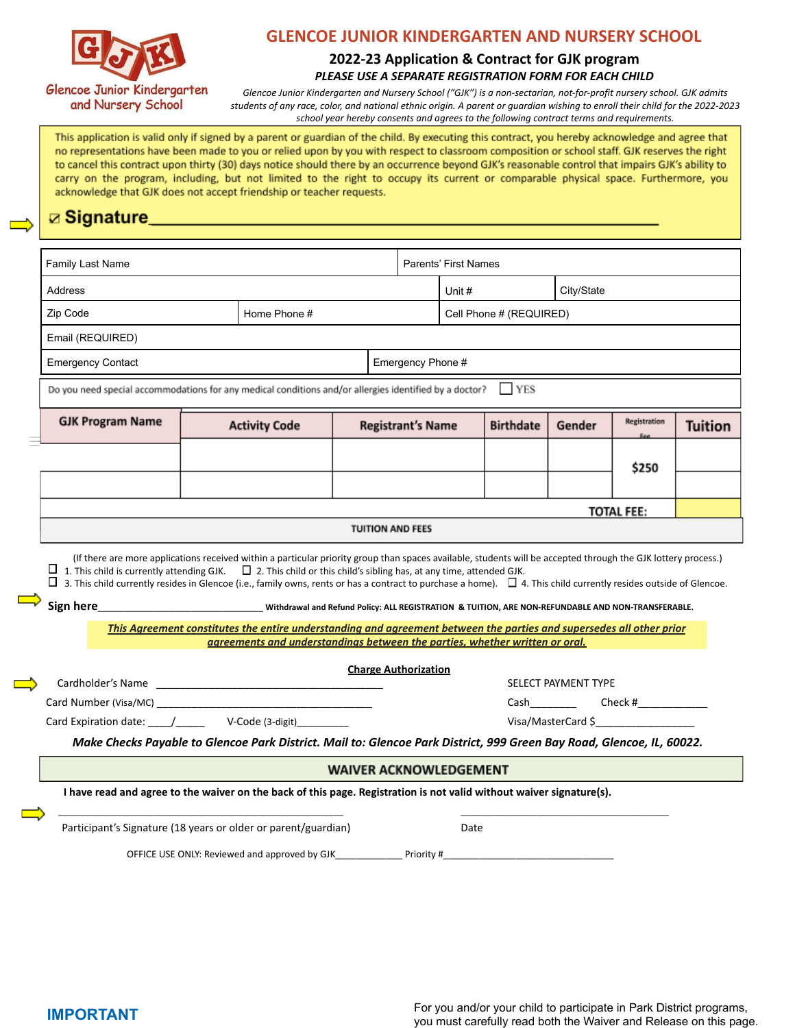

# **GLENCOE JUNIOR KINDERGARTEN AND NURSERY SCHOOL**

#### **2022-23 Application & Contract for GJK program** *PLEASE USE A SEPARATE REGISTRATION FORM FOR EACH CHILD*

*Glencoe Junior Kindergarten and Nursery School ("GJK") is a non-sectarian, not-for-profit nursery school. GJK admits* students of any race, color, and national ethnic origin. A parent or guardian wishing to enroll their child for the 2022-2023 *school year hereby consents and agrees to the following contract terms and requirements.*

This application is valid only if signed by a parent or guardian of the child. By executing this contract, you hereby acknowledge and agree that no representations have been made to you or relied upon by you with respect to classroom composition or school staff. GJK reserves the right to cancel this contract upon thirty (30) days notice should there by an occurrence beyond GJK's reasonable control that impairs GJK's ability to carry on the program, including, but not limited to the right to occupy its current or comparable physical space. Furthermore, you acknowledge that GJK does not accept friendship or teacher requests.

# ☑ Signature\_

| Family Last Name                                                                                                                                                                                                                                                                                                                                                                                                                                   |  |                                                                                                                      |                                                  |                               | <b>Parents' First Names</b> |                  |                     |                    |                |  |
|----------------------------------------------------------------------------------------------------------------------------------------------------------------------------------------------------------------------------------------------------------------------------------------------------------------------------------------------------------------------------------------------------------------------------------------------------|--|----------------------------------------------------------------------------------------------------------------------|--------------------------------------------------|-------------------------------|-----------------------------|------------------|---------------------|--------------------|----------------|--|
| Address                                                                                                                                                                                                                                                                                                                                                                                                                                            |  |                                                                                                                      |                                                  |                               | Unit #                      |                  | City/State          |                    |                |  |
| Zip Code                                                                                                                                                                                                                                                                                                                                                                                                                                           |  | Home Phone #                                                                                                         |                                                  |                               | Cell Phone # (REQUIRED)     |                  |                     |                    |                |  |
| Email (REQUIRED)                                                                                                                                                                                                                                                                                                                                                                                                                                   |  |                                                                                                                      |                                                  |                               |                             |                  |                     |                    |                |  |
| <b>Emergency Contact</b>                                                                                                                                                                                                                                                                                                                                                                                                                           |  |                                                                                                                      |                                                  | Emergency Phone #             |                             |                  |                     |                    |                |  |
| Do you need special accommodations for any medical conditions and/or allergies identified by a doctor? FISS                                                                                                                                                                                                                                                                                                                                        |  |                                                                                                                      |                                                  |                               |                             |                  |                     |                    |                |  |
| <b>GJK Program Name</b>                                                                                                                                                                                                                                                                                                                                                                                                                            |  |                                                                                                                      | <b>Activity Code</b><br><b>Registrant's Name</b> |                               |                             | <b>Birthdate</b> | Gender              | Registration       | <b>Tuition</b> |  |
|                                                                                                                                                                                                                                                                                                                                                                                                                                                    |  |                                                                                                                      |                                                  |                               |                             |                  |                     |                    |                |  |
|                                                                                                                                                                                                                                                                                                                                                                                                                                                    |  |                                                                                                                      |                                                  |                               |                             |                  |                     | \$250              |                |  |
|                                                                                                                                                                                                                                                                                                                                                                                                                                                    |  |                                                                                                                      |                                                  |                               |                             |                  |                     |                    |                |  |
|                                                                                                                                                                                                                                                                                                                                                                                                                                                    |  |                                                                                                                      |                                                  |                               | <b>TOTAL FEE:</b>           |                  |                     |                    |                |  |
| (If there are more applications received within a particular priority group than spaces available, students will be accepted through the GJK lottery process.)                                                                                                                                                                                                                                                                                     |  |                                                                                                                      |                                                  | <b>TUITION AND FEES</b>       |                             |                  |                     |                    |                |  |
| $\Box$ 1. This child is currently attending GJK. $\Box$ 2. This child or this child's sibling has, at any time, attended GJK.<br>$\Box$ 3. This child currently resides in Glencoe (i.e., family owns, rents or has a contract to purchase a home). $\Box$ 4. This child currently resides outside of Glencoe.<br>Sign here <b>Example 2018</b> Withdrawal and Refund Policy: ALL REGISTRATION & TUITION, ARE NON-REFUNDABLE AND NON-TRANSFERABLE. |  | This Agreement constitutes the entire understanding and agreement between the parties and supersedes all other prior |                                                  |                               |                             |                  |                     |                    |                |  |
|                                                                                                                                                                                                                                                                                                                                                                                                                                                    |  | agreements and understandings between the parties, whether written or oral.                                          |                                                  |                               |                             |                  |                     |                    |                |  |
|                                                                                                                                                                                                                                                                                                                                                                                                                                                    |  |                                                                                                                      |                                                  | <b>Charge Authorization</b>   |                             |                  | SELECT PAYMENT TYPE |                    |                |  |
|                                                                                                                                                                                                                                                                                                                                                                                                                                                    |  |                                                                                                                      |                                                  |                               |                             |                  |                     | Cash Check #       |                |  |
| Card Expiration date: \[mathbb{sqrt} \] V-Code (3-digit) \]                                                                                                                                                                                                                                                                                                                                                                                        |  |                                                                                                                      |                                                  |                               |                             |                  |                     | Visa/MasterCard \$ |                |  |
| Make Checks Payable to Glencoe Park District. Mail to: Glencoe Park District, 999 Green Bay Road, Glencoe, IL, 60022.                                                                                                                                                                                                                                                                                                                              |  |                                                                                                                      |                                                  |                               |                             |                  |                     |                    |                |  |
|                                                                                                                                                                                                                                                                                                                                                                                                                                                    |  |                                                                                                                      |                                                  | <b>WAIVER ACKNOWLEDGEMENT</b> |                             |                  |                     |                    |                |  |
| I have read and agree to the waiver on the back of this page. Registration is not valid without waiver signature(s).                                                                                                                                                                                                                                                                                                                               |  |                                                                                                                      |                                                  |                               |                             |                  |                     |                    |                |  |
| Participant's Signature (18 years or older or parent/guardian)                                                                                                                                                                                                                                                                                                                                                                                     |  |                                                                                                                      |                                                  |                               | Date                        |                  |                     |                    |                |  |

 $\equiv$